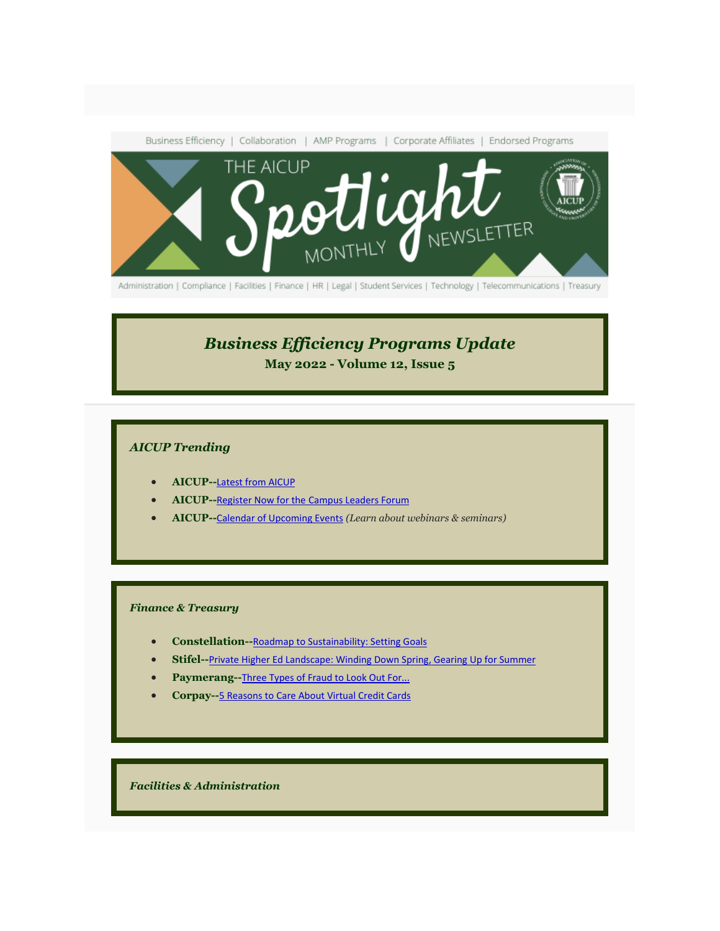

Administration | Compliance | Facilities | Finance | HR | Legal | Student Services | Technology | Telecommunications | Treasury

# *Business Efficiency Programs Update*

<span id="page-0-0"></span>**May 2022 - Volume 12, Issue 5**

# *AICUP Trending*

- **AICUP--**[Latest from AICUP](#page-2-0)
- **AICUP--**[Register Now for the](#page-3-0) [Campus Leaders Forum](#page-3-0)
- **AICUP--**[Calendar of Upcoming Events](https://aicup.us2.list-manage.com/track/click?u=50862e6f402743ccc70a4f1d7&id=b544964550&e=1fd9971349) *(Learn about webinars & seminars)*

#### *Finance & Treasury*

- **Constellation--**[Roadmap to Sustainability: Setting Goals](#page-4-0)
- **Stifel--**[Private Higher Ed Landscape: Winding Down Spring, Gearing Up for Summer](#page-7-0)
- Paymerang--[Three Types of Fraud to Look Out For...](#page-8-0)
- **Corpay--**[5 Reasons to Care About Virtual Credit Cards](#page-12-0)

*Facilities & Administration*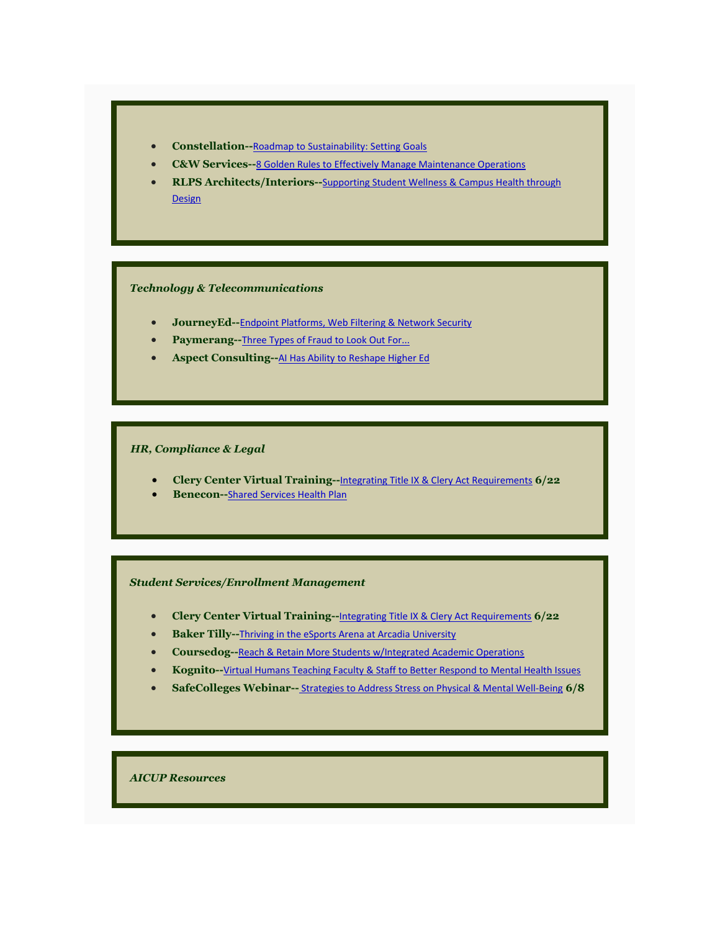

- **C&W Services--**[8 Golden Rules to Effectively Manage Maintenance Operations](#page-11-0)
- **RLPS Architects/Interiors--**[Supporting Student Wellness & Campus Health through](#page-15-0)  [Design](#page-15-0)

#### *Technology & Telecommunications*

- **JourneyEd--**[Endpoint Platforms, Web Filtering & Network Security](#page-5-0)
- **Paymerang--**[Three Types of Fraud to Look Out For...](#page-8-0)
- **Aspect Consulting--**[AI Has Ability to Reshape Higher Ed](#page-8-1)

#### *HR, Compliance & Legal*

- **Clery Center Virtual Training--**[Integrating Title IX & Clery Act Requirements](#page-3-1) **6/22**
- **Benecon--**[Shared Services Health Plan](#page-10-0)

#### *Student Services/Enrollment Management*

- **Clery Center Virtual Training--**[Integrating Title IX & Clery Act Requirements](#page-3-1) **6/22**
- **Baker Tilly--**[Thriving in the eSports Arena at Arcadia University](#page-10-1)
- **Coursedog--**[Reach & Retain More Students w/Integrated Academic Operations](#page-13-0)
- **Kognito--**[Virtual Humans Teaching Faculty & Staff to Better Respond to Mental Health Issues](#page-14-0)
- **SafeColleges Webinar--** [Strategies to Address Stress on Physical & Mental Well-Being](#page-16-0) **6/8**

*AICUP Resources*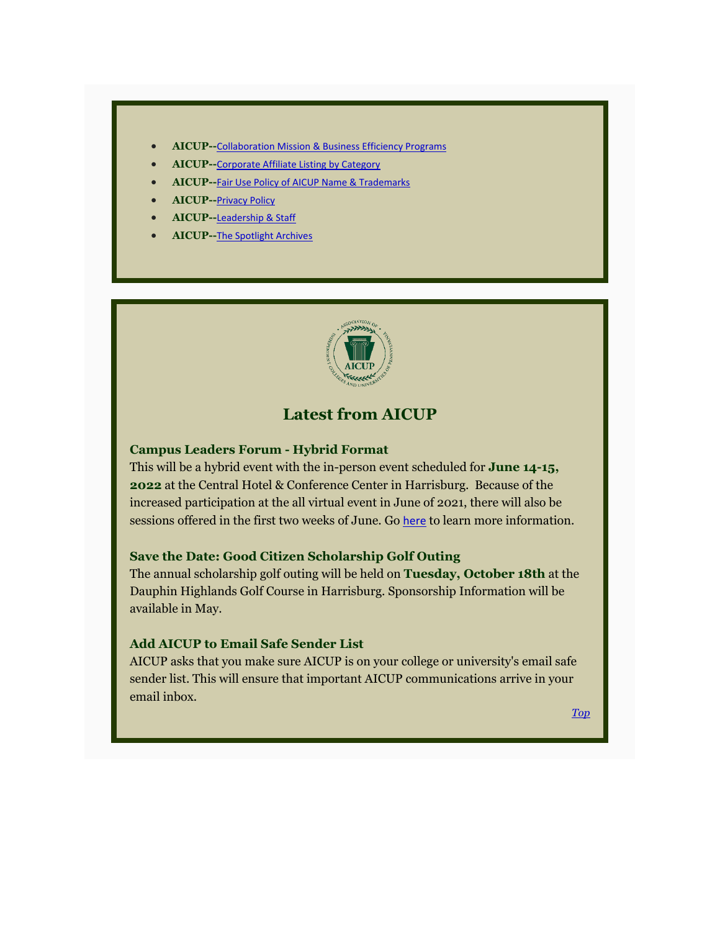- **AICUP--**[Collaboration Mission & Business Efficiency Programs](https://aicup.us2.list-manage.com/track/click?u=50862e6f402743ccc70a4f1d7&id=869c72c83d&e=1fd9971349)
- **AICUP--**Corporate Affiliate [Listing by Category](https://aicup.us2.list-manage.com/track/click?u=50862e6f402743ccc70a4f1d7&id=d4ce3bfda5&e=1fd9971349)
- **AICUP--**[Fair Use Policy of AICUP Name & Trademarks](#page-17-0)
- **AICUP--**[P](https://aicup.us2.list-manage.com/track/click?u=50862e6f402743ccc70a4f1d7&id=d8f3e3695a&e=1fd9971349)[rivacy Policy](https://aicup.us2.list-manage.com/track/click?u=50862e6f402743ccc70a4f1d7&id=9d26a98fcb&e=1fd9971349)
- **AICUP--**[Leadership & Staff](#page-18-0)
- **AICUP--**[The Spotlight Archives](https://aicup.us2.list-manage.com/track/click?u=50862e6f402743ccc70a4f1d7&id=d67abd65db&e=1fd9971349)



# **Latest from AICUP**

## <span id="page-2-0"></span>**Campus Leaders Forum - Hybrid Format**

This will be a hybrid event with the in-person event scheduled for **June 14-15, 2022** at the Central Hotel & Conference Center in Harrisburg. Because of the increased participation at the all virtual event in June of 2021, there will also be sessions offered in the first two weeks of June. Go [here](#page-3-0) to learn more information.

# **Save the Date: Good Citizen Scholarship Golf Outing**

The annual scholarship golf outing will be held on **Tuesday, October 18th** at the Dauphin Highlands Golf Course in Harrisburg. Sponsorship Information will be available in May.

# **Add AICUP to Email Safe Sender List**

AICUP asks that you make sure AICUP is on your college or university's email safe sender list. This will ensure that important AICUP communications arrive in your email inbox.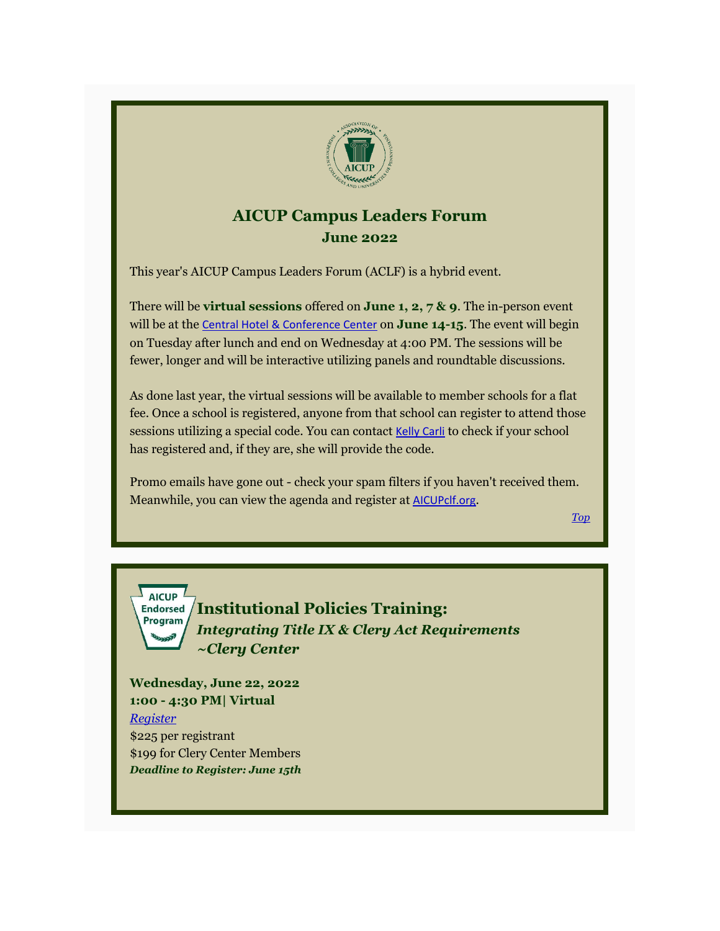

# **AICUP Campus Leaders Forum June 2022**

<span id="page-3-0"></span>This year's AICUP Campus Leaders Forum (ACLF) is a hybrid event.

There will be **virtual sessions** offered on **June 1, 2, 7 & 9**. The in-person event will be at the [Central Hotel & Conference Center](https://aicup.us2.list-manage.com/track/click?u=50862e6f402743ccc70a4f1d7&id=13f268b287&e=1fd9971349) on **June 14-15**. The event will begin on Tuesday after lunch and end on Wednesday at 4:00 PM. The sessions will be fewer, longer and will be interactive utilizing panels and roundtable discussions.

As done last year, the virtual sessions will be available to member schools for a flat fee. Once a school is registered, anyone from that school can register to attend those sessions utilizing a special code. You can contact [Kelly Carli](mailto:carli@aicup,org?subject=ACLF%20-%20Is%20My%20School%20Registered%20Yet%3F) to check if your school has registered and, if they are, she will provide the code.

Promo emails have gone out - check your spam filters if you haven't received them. Meanwhile, you can view the agenda and register at [AICUPclf.org](https://aicup.us2.list-manage.com/track/click?u=50862e6f402743ccc70a4f1d7&id=207003c792&e=1fd9971349).

*[Top](#page-0-0)*



<span id="page-3-1"></span>**Institutional Policies Training:**  *Integrating Title IX & Clery Act Requirements ~Clery Center*

**Wednesday, June 22, 2022 1:00 - 4:30 PM| Virtual** *[Register](https://aicup.us2.list-manage.com/track/click?u=50862e6f402743ccc70a4f1d7&id=d0ca91df86&e=1fd9971349)* \$225 per registrant \$199 for Clery Center Members *Deadline to Register: June 15th*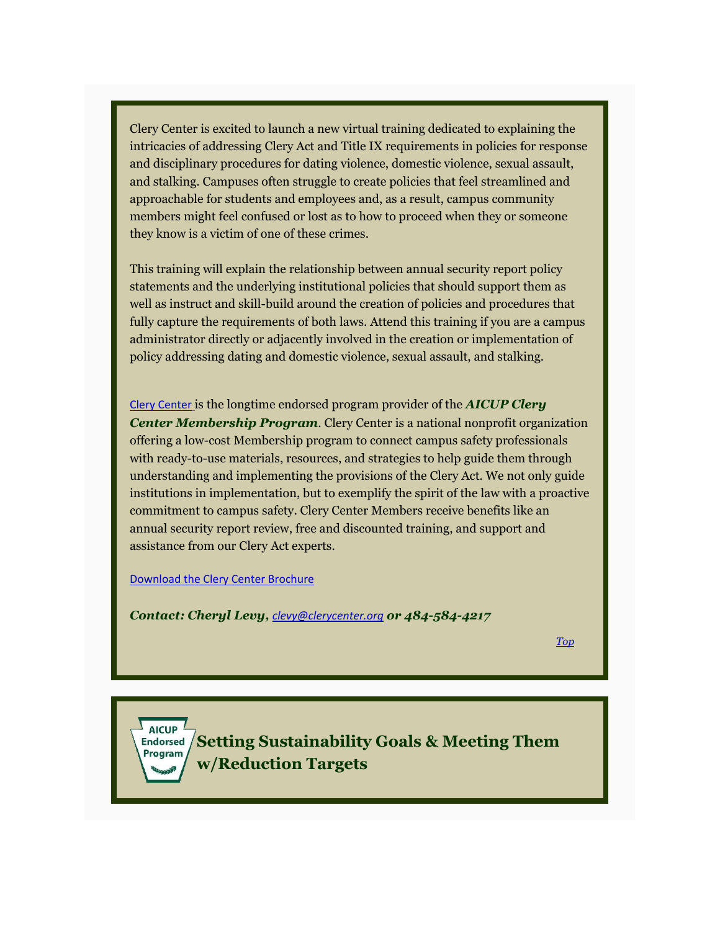Clery Center is excited to launch a new virtual training dedicated to explaining the intricacies of addressing Clery Act and Title IX requirements in policies for response and disciplinary procedures for dating violence, domestic violence, sexual assault, and stalking. Campuses often struggle to create policies that feel streamlined and approachable for students and employees and, as a result, campus community members might feel confused or lost as to how to proceed when they or someone they know is a victim of one of these crimes.

This training will explain the relationship between annual security report policy statements and the underlying institutional policies that should support them as well as instruct and skill-build around the creation of policies and procedures that fully capture the requirements of both laws. Attend this training if you are a campus administrator directly or adjacently involved in the creation or implementation of policy addressing dating and domestic violence, sexual assault, and stalking.

[Clery Center](https://aicup.us2.list-manage.com/track/click?u=50862e6f402743ccc70a4f1d7&id=1e61a64181&e=1fd9971349) is the longtime endorsed program provider of the *AICUP Clery Center Membership Program*. Clery Center is a national nonprofit organization offering a low-cost Membership program to connect campus safety professionals with ready-to-use materials, resources, and strategies to help guide them through understanding and implementing the provisions of the Clery Act. We not only guide institutions in implementation, but to exemplify the spirit of the law with a proactive commitment to campus safety. Clery Center Members receive benefits like an annual security report review, free and discounted training, and support and assistance from our Clery Act experts.

[Download the Clery Center Brochure](https://aicup.us2.list-manage.com/track/click?u=50862e6f402743ccc70a4f1d7&id=0347eef1bf&e=1fd9971349)

*Contact: Cheryl Levy, [clevy@clerycenter.org](mailto:clevy@clerycenter.org?subject=AICUP%20Clery%20Center%20Membership%20Program) or 484-584-4217*

*[Top](#page-0-0)*

<span id="page-4-0"></span>**AICUP Setting Sustainability Goals & Meeting Them**  Program **w/Reduction Targets**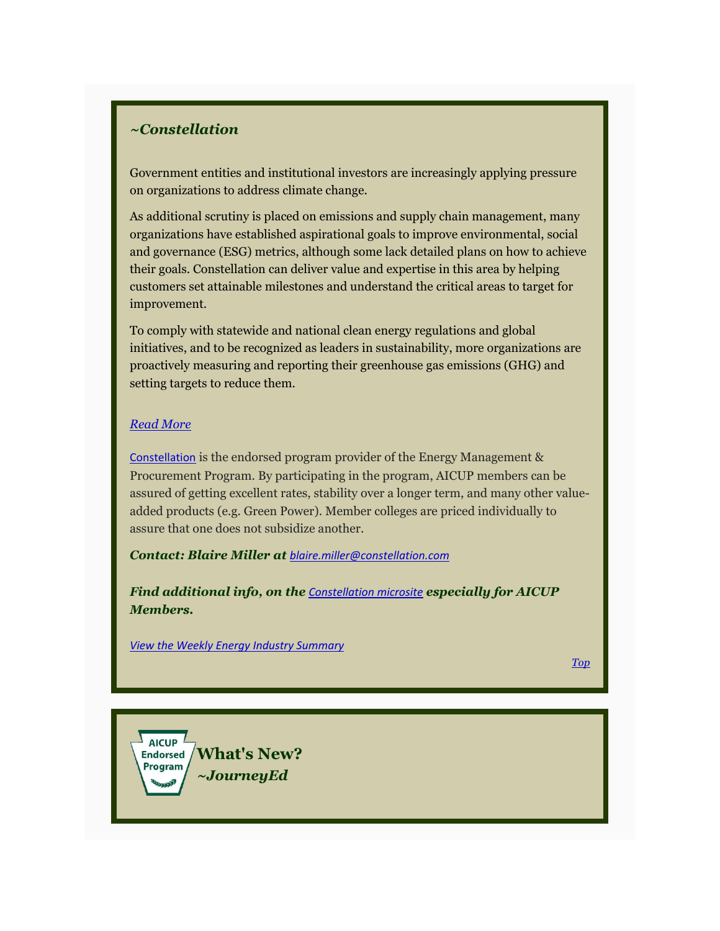# *~Constellation*

Government entities and institutional investors are increasingly applying pressure on organizations to address climate change.

As additional scrutiny is placed on emissions and supply chain management, many organizations have established aspirational goals to improve environmental, social and governance (ESG) metrics, although some lack detailed plans on how to achieve their goals. Constellation can deliver value and expertise in this area by helping customers set attainable milestones and understand the critical areas to target for improvement.

To comply with statewide and national clean energy regulations and global initiatives, and to be recognized as leaders in sustainability, more organizations are proactively measuring and reporting their greenhouse gas emissions (GHG) and setting targets to reduce them.

## *[Read More](https://aicup.us2.list-manage.com/track/click?u=50862e6f402743ccc70a4f1d7&id=8a3ed3125d&e=1fd9971349)*

[Constellation](https://aicup.us2.list-manage.com/track/click?u=50862e6f402743ccc70a4f1d7&id=d13f0e71fb&e=1fd9971349) is the endorsed program provider of the Energy Management & Procurement Program. By participating in the program, AICUP members can be assured of getting excellent rates, stability over a longer term, and many other valueadded products (e.g. Green Power). Member colleges are priced individually to assure that one does not subsidize another.

*Contact: Blaire Miller at [blaire.miller@constellation.com](mailto:blaire.miller@constellation.com)*

*Find additional info, on the [Constellation microsite](https://aicup.us2.list-manage.com/track/click?u=50862e6f402743ccc70a4f1d7&id=ab69e1e48d&e=1fd9971349) especially for AICUP Members.*

*[View the Weekly Energy Industry Summary](https://aicup.us2.list-manage.com/track/click?u=50862e6f402743ccc70a4f1d7&id=9e2965d602&e=1fd9971349)*

<span id="page-5-0"></span>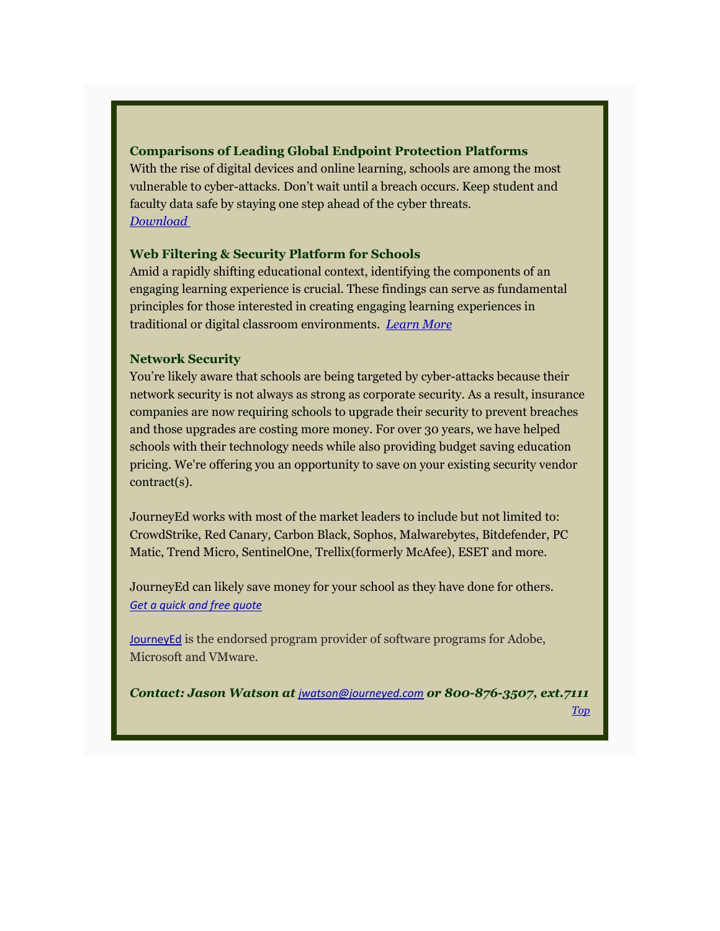# **Comparisons of Leading Global Endpoint Protection Platforms**

With the rise of digital devices and online learning, schools are among the most vulnerable to cyber-attacks. Don't wait until a breach occurs. Keep student and faculty data safe by staying one step ahead of the cyber threats. *[Download](https://aicup.us2.list-manage.com/track/click?u=50862e6f402743ccc70a4f1d7&id=15a0142519&e=1fd9971349)*

## **Web Filtering & Security Platform for Schools**

Amid a rapidly shifting educational context, identifying the components of an engaging learning experience is crucial. These findings can serve as fundamental principles for those interested in creating engaging learning experiences in traditional or digital classroom environments. *[Learn More](https://aicup.us2.list-manage.com/track/click?u=50862e6f402743ccc70a4f1d7&id=3b5b535d19&e=1fd9971349)*

# **Network Security**

You're likely aware that schools are being targeted by cyber-attacks because their network security is not always as strong as corporate security. As a result, insurance companies are now requiring schools to upgrade their security to prevent breaches and those upgrades are costing more money. For over 30 years, we have helped schools with their technology needs while also providing budget saving education pricing. We're offering you an opportunity to save on your existing security vendor contract(s).

JourneyEd works with most of the market leaders to include but not limited to: CrowdStrike, Red Canary, Carbon Black, Sophos, Malwarebytes, Bitdefender, PC Matic, Trend Micro, SentinelOne, Trellix(formerly McAfee), ESET and more.

JourneyEd can likely save money for your school as they have done for others. *[Get a quick and free quote](https://aicup.us2.list-manage.com/track/click?u=50862e6f402743ccc70a4f1d7&id=881034cb05&e=1fd9971349)*

[JourneyEd](https://aicup.us2.list-manage.com/track/click?u=50862e6f402743ccc70a4f1d7&id=b22ac8a526&e=1fd9971349) is the endorsed program provider of software programs for Adobe, Microsoft and VMware.

*Contact: Jason Watson at [jwatson@journeyed.com](mailto:jwatson@journeyed.com) or 800-876-3507, ext.7111*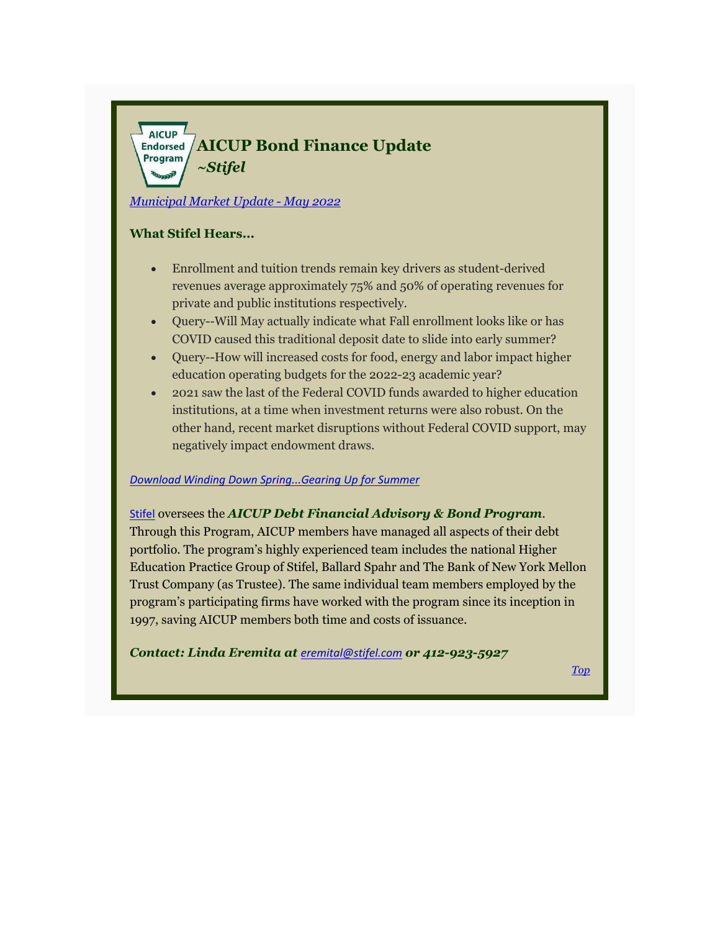#### <span id="page-7-0"></span>AICUP  $\frac{1}{2}$ **Endorsed AICUP Bond Finance Update** Program *~Stifel*

*[Municipal Market Update](https://aicup.us2.list-manage.com/track/click?u=50862e6f402743ccc70a4f1d7&id=39d07f10ae&e=1fd9971349) - May 2022*

# **What Stifel Hears...**

- Enrollment and tuition trends remain key drivers as student-derived revenues average approximately 75% and 50% of operating revenues for private and public institutions respectively.
- Query--Will May actually indicate what Fall enrollment looks like or has COVID caused this traditional deposit date to slide into early summer?
- Query--How will increased costs for food, energy and labor impact higher education operating budgets for the 2022-23 academic year?
- 2021 saw the last of the Federal COVID funds awarded to higher education institutions, at a time when investment returns were also robust. On the other hand, recent market disruptions without Federal COVID support, may negatively impact endowment draws.

#### *[Download Winding Down Spring...Gearing Up for Summer](https://aicup.us2.list-manage.com/track/click?u=50862e6f402743ccc70a4f1d7&id=df097dc7fa&e=1fd9971349)*

## [Stifel](https://aicup.us2.list-manage.com/track/click?u=50862e6f402743ccc70a4f1d7&id=4834e7d6c8&e=1fd9971349) oversees the *AICUP Debt Financial Advisory & Bond Program*.

Through this Program, AICUP members have managed all aspects of their debt portfolio. The program's highly experienced team includes the national Higher Education Practice Group of Stifel, Ballard Spahr and The Bank of New York Mellon Trust Company (as Trustee). The same individual team members employed by the program's participating firms have worked with the program since its inception in 1997, saving AICUP members both time and costs of issuance.

*Contact: Linda Eremita at [eremital@stifel.com](mailto:eremital@stifel.com) or 412-923-5927*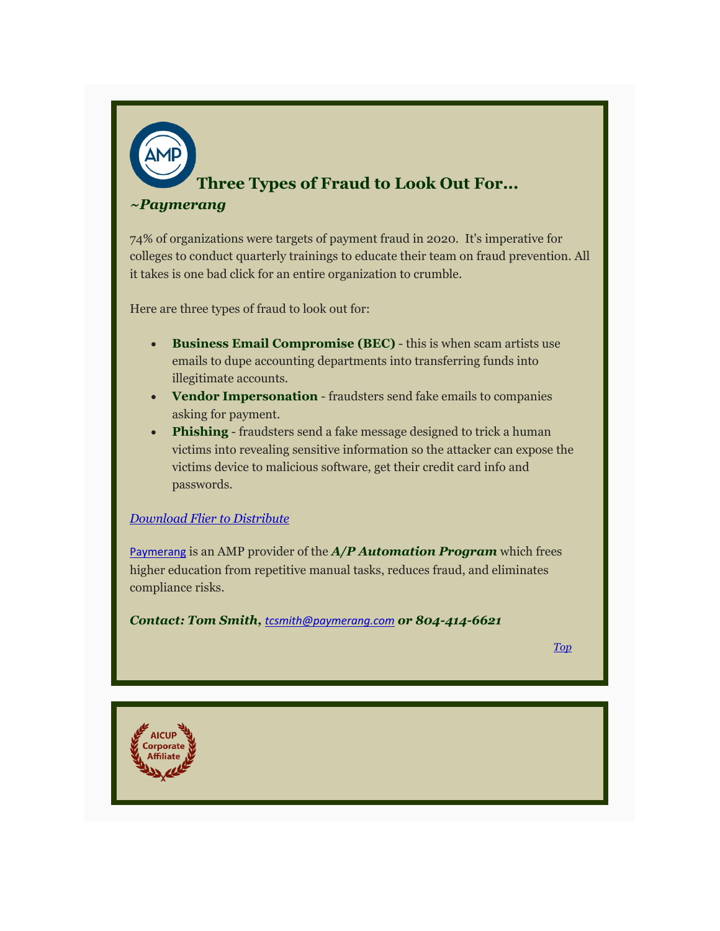# <span id="page-8-0"></span>**Three Types of Fraud to Look Out For...**

## *~Paymerang*

74% of organizations were targets of payment fraud in 2020. It's imperative for colleges to conduct quarterly trainings to educate their team on fraud prevention. All it takes is one bad click for an entire organization to crumble.

Here are three types of fraud to look out for:

- **Business Email Compromise (BEC)** this is when scam artists use emails to dupe accounting departments into transferring funds into illegitimate accounts.
- **Vendor Impersonation** fraudsters send fake emails to companies asking for payment.
- **Phishing** fraudsters send a fake message designed to trick a human victims into revealing sensitive information so the attacker can expose the victims device to malicious software, get their credit card info and passwords.

# *[Download Flier to Distribute](https://aicup.us2.list-manage.com/track/click?u=50862e6f402743ccc70a4f1d7&id=cdec265c47&e=1fd9971349)*

[Paymerang](https://aicup.us2.list-manage.com/track/click?u=50862e6f402743ccc70a4f1d7&id=23f0f787dc&e=1fd9971349) is an AMP provider of the *A/P Automation Program* which frees higher education from repetitive manual tasks, reduces fraud, and eliminates compliance risks.

*Contact: Tom Smith, [tcsmith@paymerang.com](mailto:tcsmith@paymerang.com) or 804-414-6621*

<span id="page-8-1"></span>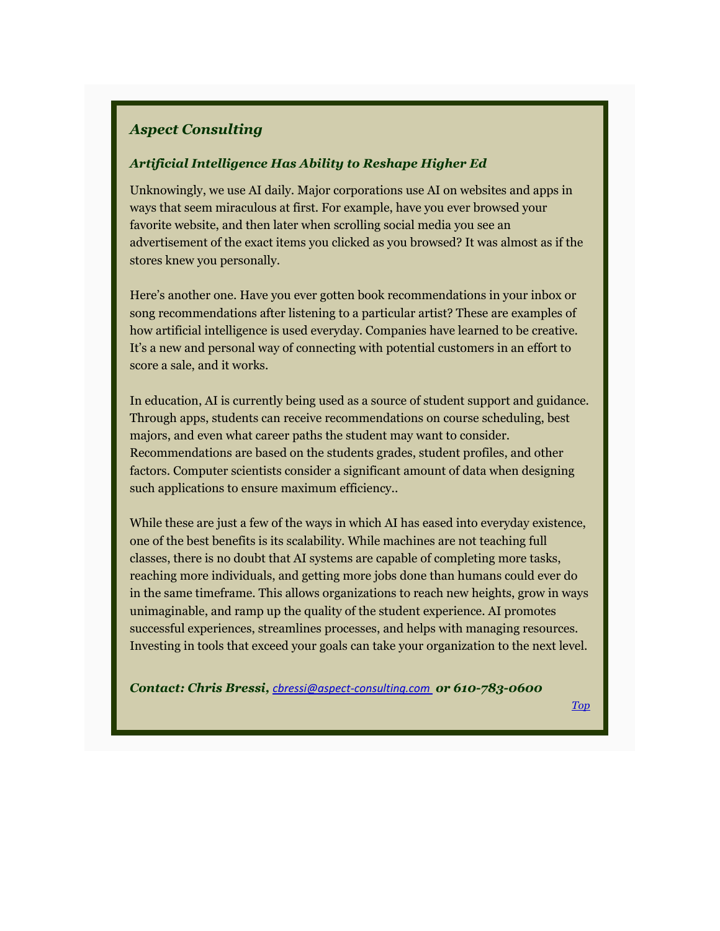# *Aspect Consulting*

# *Artificial Intelligence Has Ability to Reshape Higher Ed*

Unknowingly, we use AI daily. Major corporations use AI on websites and apps in ways that seem miraculous at first. For example, have you ever browsed your favorite website, and then later when scrolling social media you see an advertisement of the exact items you clicked as you browsed? It was almost as if the stores knew you personally.

Here's another one. Have you ever gotten book recommendations in your inbox or song recommendations after listening to a particular artist? These are examples of how artificial intelligence is used everyday. Companies have learned to be creative. It's a new and personal way of connecting with potential customers in an effort to score a sale, and it works.

In education, AI is currently being used as a source of student support and guidance. Through apps, students can receive recommendations on course scheduling, best majors, and even what career paths the student may want to consider. Recommendations are based on the students grades, student profiles, and other factors. Computer scientists consider a significant amount of data when designing such applications to ensure maximum efficiency..

While these are just a few of the ways in which AI has eased into everyday existence, one of the best benefits is its scalability. While machines are not teaching full classes, there is no doubt that AI systems are capable of completing more tasks, reaching more individuals, and getting more jobs done than humans could ever do in the same timeframe. This allows organizations to reach new heights, grow in ways unimaginable, and ramp up the quality of the student experience. AI promotes successful experiences, streamlines processes, and helps with managing resources. Investing in tools that exceed your goals can take your organization to the next level.

*Contact: Chris Bressi, [cbressi@aspect-consulting.com](mailto:cbressi@aspect-consulting.com%C2%A0) or 610-783-0600*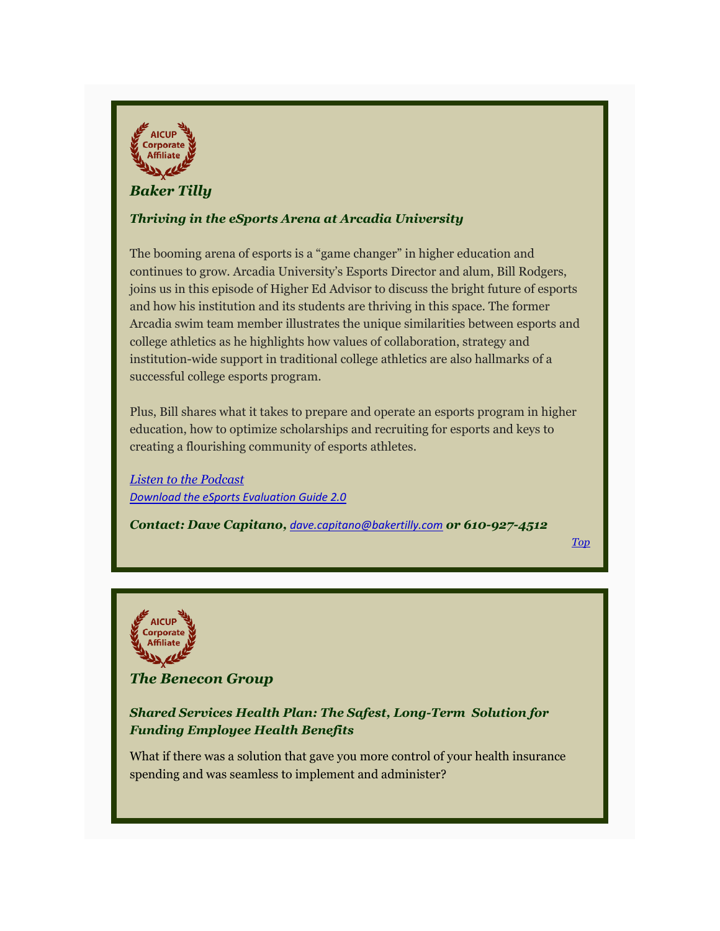<span id="page-10-1"></span>

# *Baker Tilly*

# *Thriving in the eSports Arena at Arcadia University*

The booming arena of esports is a "game changer" in higher education and continues to grow. Arcadia University's Esports Director and alum, Bill Rodgers, joins us in this episode of Higher Ed Advisor to discuss the bright future of esports and how his institution and its students are thriving in this space. The former Arcadia swim team member illustrates the unique similarities between esports and college athletics as he highlights how values of collaboration, strategy and institution-wide support in traditional college athletics are also hallmarks of a successful college esports program.

Plus, Bill shares what it takes to prepare and operate an esports program in higher education, how to optimize scholarships and recruiting for esports and keys to creating a flourishing community of esports athletes.

*[Listen to the Podcast](https://aicup.us2.list-manage.com/track/click?u=50862e6f402743ccc70a4f1d7&id=7f802080f6&e=1fd9971349) [Download the eSports Evaluation Guide 2.0](https://aicup.us2.list-manage.com/track/click?u=50862e6f402743ccc70a4f1d7&id=de7fd76be2&e=1fd9971349)*

*Contact: Dave Capitano, [dave.capitano@bakertilly.com](mailto:dave.capitano@bakertilly.com) or 610-927-4512*

*[Top](#page-0-0)*

<span id="page-10-0"></span>

*The Benecon Group*

# *Shared Services Health Plan: The Safest, Long-Term Solution for Funding Employee Health Benefits*

What if there was a solution that gave you more control of your health insurance spending and was seamless to implement and administer?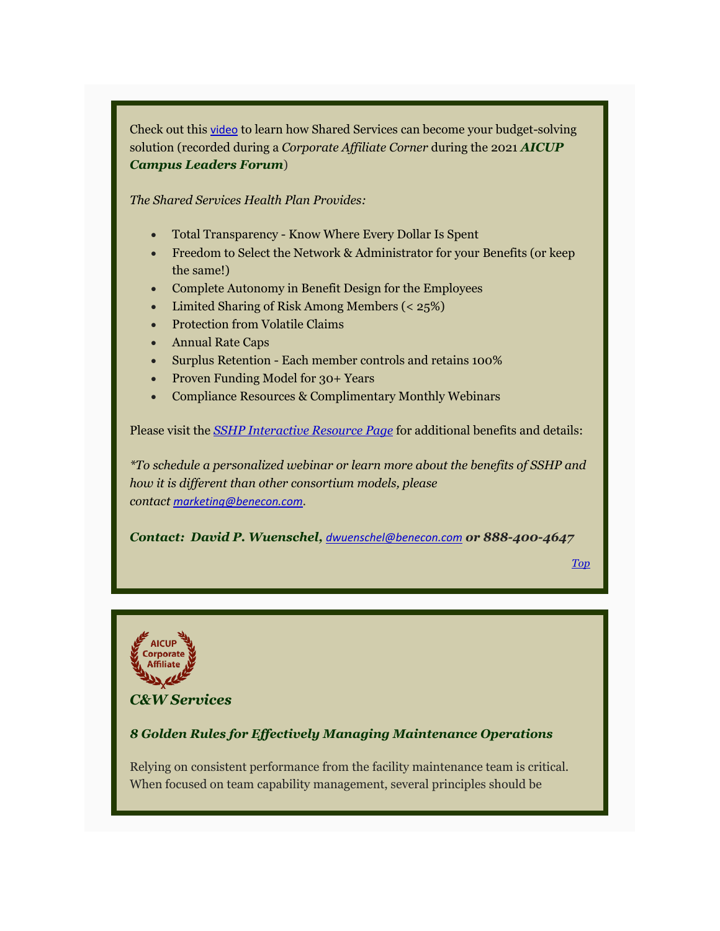Check out this [video](https://aicup.us2.list-manage.com/track/click?u=50862e6f402743ccc70a4f1d7&id=ea0eb2371d&e=1fd9971349) to learn how Shared Services can become your budget-solving solution (recorded during a *Corporate Affiliate Corner* during the 2021 *AICUP Campus Leaders Forum*)

*The Shared Services Health Plan Provides:*

- Total Transparency Know Where Every Dollar Is Spent
- Freedom to Select the Network & Administrator for your Benefits (or keep the same!)
- Complete Autonomy in Benefit Design for the Employees
- Limited Sharing of Risk Among Members (< 25%)
- Protection from Volatile Claims
- Annual Rate Caps
- Surplus Retention Each member controls and retains 100%
- Proven Funding Model for 30+ Years
- Compliance Resources & Complimentary Monthly Webinars

Please visit the *[SSHP Interactive Resource Page](https://aicup.us2.list-manage.com/track/click?u=50862e6f402743ccc70a4f1d7&id=d9ceb0ab2b&e=1fd9971349)* for additional benefits and details:

*\*To schedule a personalized webinar or learn more about the benefits of SSHP and how it is different than other consortium models, please contact [marketing@benecon.com](mailto:marketing@benecon.com).*

*Contact: David P. Wuenschel, [dwuenschel@benecon.com](mailto:dwuenschel@benecon.com) or 888-400-4647*

*[Top](#page-0-0)*

<span id="page-11-0"></span>

*C&W Services*

# *8 Golden Rules for Effectively Managing Maintenance Operations*

Relying on consistent performance from the facility maintenance team is critical. When focused on team capability management, several principles should be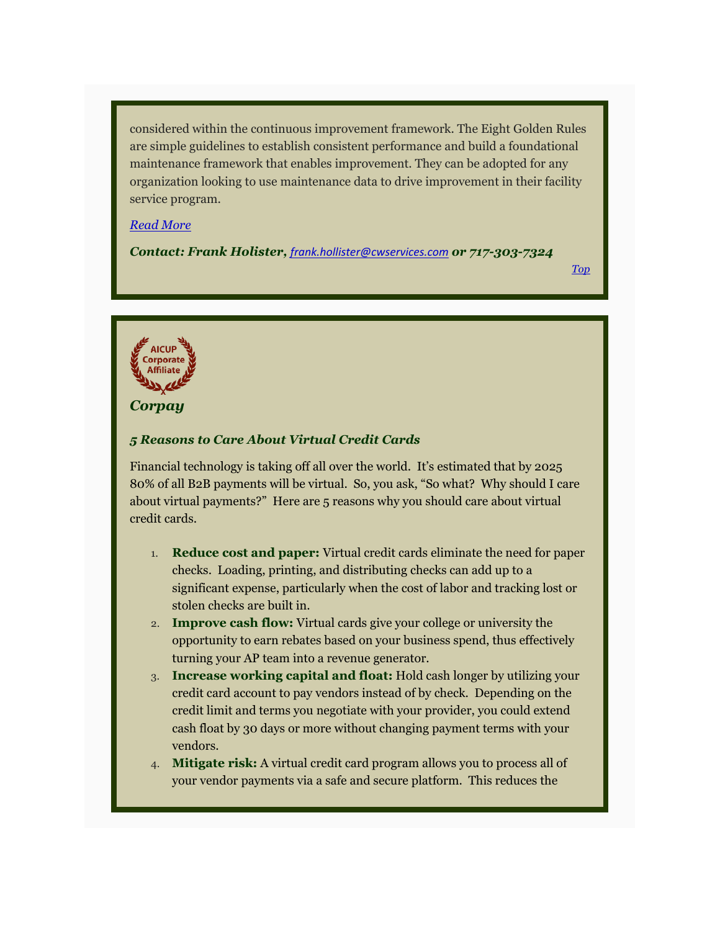considered within the continuous improvement framework. The Eight Golden Rules are simple guidelines to establish consistent performance and build a foundational maintenance framework that enables improvement. They can be adopted for any organization looking to use maintenance data to drive improvement in their facility service program.

#### *[Read More](https://aicup.us2.list-manage.com/track/click?u=50862e6f402743ccc70a4f1d7&id=2de8ebe104&e=1fd9971349)*

*Contact: Frank Holister, [frank.hollister@cwservices.com](mailto:frank.hollister@cwservices.com) or 717-303-7324*

*[Top](#page-0-0)*

<span id="page-12-0"></span>

*Corpay*

## *5 Reasons to Care About Virtual Credit Cards*

Financial technology is taking off all over the world. It's estimated that by 2025 80% of all B2B payments will be virtual. So, you ask, "So what? Why should I care about virtual payments?" Here are 5 reasons why you should care about virtual credit cards.

- 1. **Reduce cost and paper:** Virtual credit cards eliminate the need for paper checks. Loading, printing, and distributing checks can add up to a significant expense, particularly when the cost of labor and tracking lost or stolen checks are built in.
- 2. **Improve cash flow:** Virtual cards give your college or university the opportunity to earn rebates based on your business spend, thus effectively turning your AP team into a revenue generator.
- 3. **Increase working capital and float:** Hold cash longer by utilizing your credit card account to pay vendors instead of by check. Depending on the credit limit and terms you negotiate with your provider, you could extend cash float by 30 days or more without changing payment terms with your vendors.
- 4. **Mitigate risk:** A virtual credit card program allows you to process all of your vendor payments via a safe and secure platform. This reduces the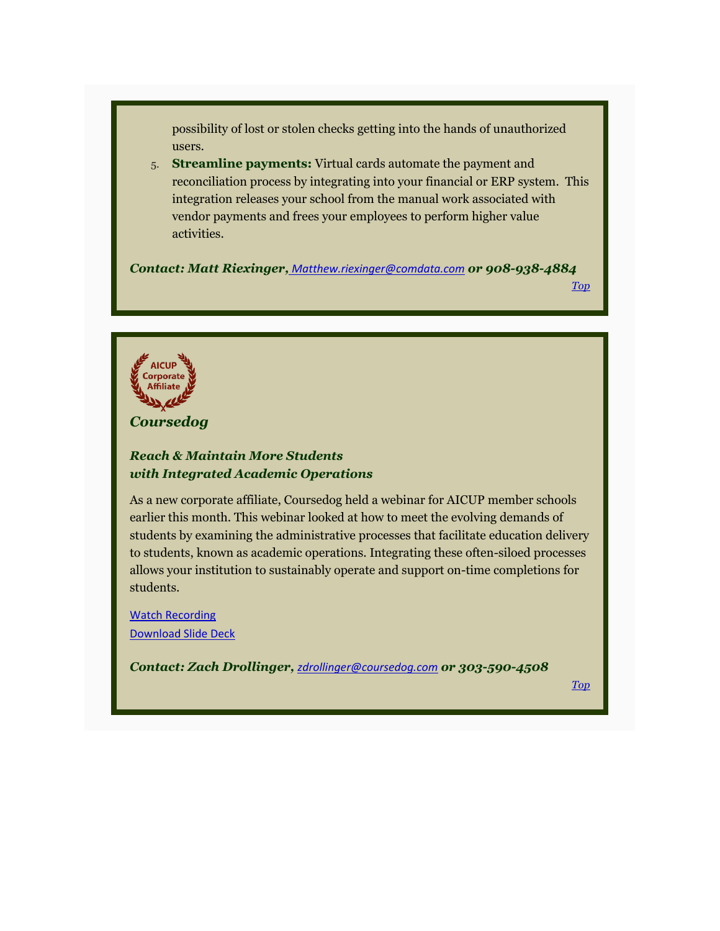possibility of lost or stolen checks getting into the hands of unauthorized users.

5. **Streamline payments:** Virtual cards automate the payment and reconciliation process by integrating into your financial or ERP system. This integration releases your school from the manual work associated with vendor payments and frees your employees to perform higher value activities.

*Contact: Matt Riexinger, [Matthew.riexinger@comdata.com](mailto:Matthew.riexinger@comdata.com?subject=AICUP%20-%20Want%20More%20Info) or 908-938-4884*

*[Top](#page-0-0)*

<span id="page-13-0"></span>

*Coursedog*

# *Reach & Maintain More Students with Integrated Academic Operations*

As a new corporate affiliate, Coursedog held a webinar for AICUP member schools earlier this month. This webinar looked at how to meet the evolving demands of students by examining the administrative processes that facilitate education delivery to students, known as academic operations. Integrating these often-siloed processes allows your institution to sustainably operate and support on-time completions for students.

[Watch Recording](https://aicup.us2.list-manage.com/track/click?u=50862e6f402743ccc70a4f1d7&id=42352daf29&e=1fd9971349) [Download Slide Deck](https://aicup.us2.list-manage.com/track/click?u=50862e6f402743ccc70a4f1d7&id=e20818b2eb&e=1fd9971349)

*Contact: Zach Drollinger, [zdrollinger@coursedog.com](mailto:zdrollinger@coursedog.com) or 303-590-4508*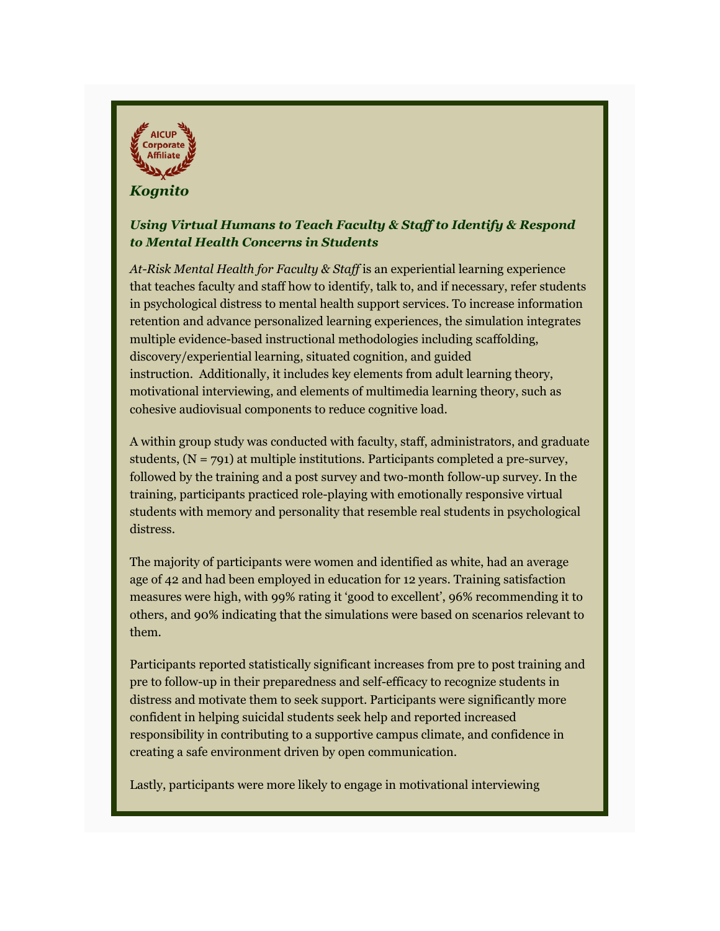<span id="page-14-0"></span>

# *Kognito*

# *Using Virtual Humans to Teach Faculty & Staff to Identify & Respond to Mental Health Concerns in Students*

*At-Risk Mental Health for Faculty & Staff* is an experiential learning experience that teaches faculty and staff how to identify, talk to, and if necessary, refer students in psychological distress to mental health support services. To increase information retention and advance personalized learning experiences, the simulation integrates multiple evidence-based instructional methodologies including scaffolding, discovery/experiential learning, situated cognition, and guided instruction. Additionally, it includes key elements from adult learning theory, motivational interviewing, and elements of multimedia learning theory, such as cohesive audiovisual components to reduce cognitive load.

A within group study was conducted with faculty, staff, administrators, and graduate students, (N = 791) at multiple institutions. Participants completed a pre-survey, followed by the training and a post survey and two-month follow-up survey. In the training, participants practiced role-playing with emotionally responsive virtual students with memory and personality that resemble real students in psychological distress.

The majority of participants were women and identified as white, had an average age of 42 and had been employed in education for 12 years. Training satisfaction measures were high, with 99% rating it 'good to excellent', 96% recommending it to others, and 90% indicating that the simulations were based on scenarios relevant to them.

Participants reported statistically significant increases from pre to post training and pre to follow-up in their preparedness and self-efficacy to recognize students in distress and motivate them to seek support. Participants were significantly more confident in helping suicidal students seek help and reported increased responsibility in contributing to a supportive campus climate, and confidence in creating a safe environment driven by open communication.

Lastly, participants were more likely to engage in motivational interviewing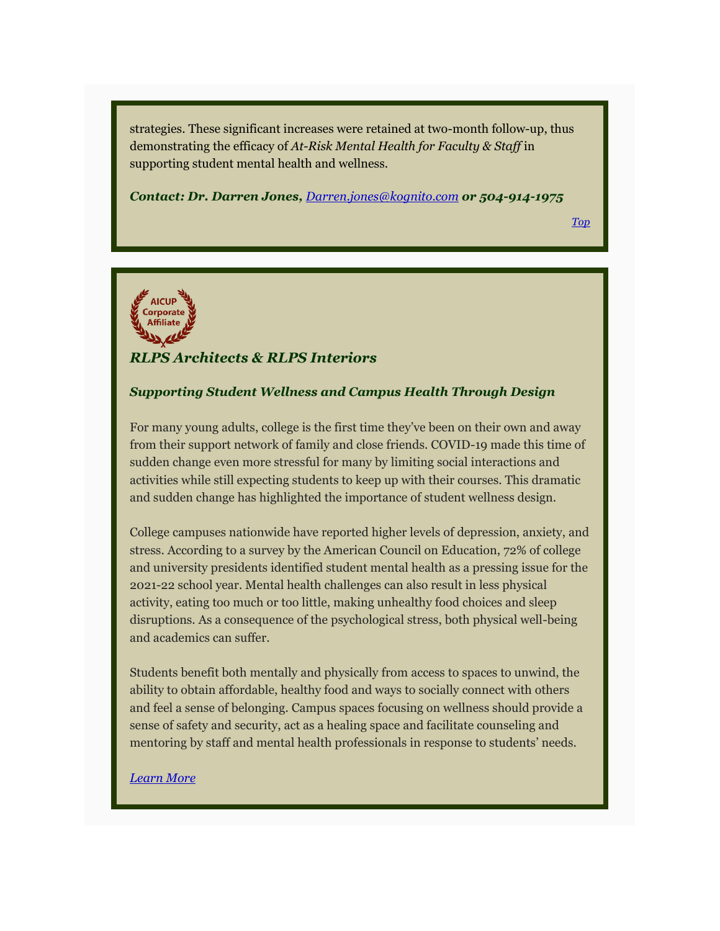strategies. These significant increases were retained at two-month follow-up, thus demonstrating the efficacy of *At-Risk Mental Health for Faculty & Staff* in supporting student mental health and wellness.

*Contact: Dr. Darren Jones, [Darren.jones@kognito.com](mailto:Darren.jones@kognito.com?subject=AICUP%20-%20More%20Info%20Needed) or 504-914-1975*

*[Top](#page-0-0)*

<span id="page-15-0"></span>

# *RLPS Architects & RLPS Interiors*

#### *Supporting Student Wellness and Campus Health Through Design*

For many young adults, college is the first time they've been on their own and away from their support network of family and close friends. COVID-19 made this time of sudden change even more stressful for many by limiting social interactions and activities while still expecting students to keep up with their courses. This dramatic and sudden change has highlighted the importance of student wellness design.

College campuses nationwide have reported higher levels of depression, anxiety, and stress. According to a survey by the American Council on Education, 72% of college and university presidents identified student mental health as a pressing issue for the 2021-22 school year. Mental health challenges can also result in less physical activity, eating too much or too little, making unhealthy food choices and sleep disruptions. As a consequence of the psychological stress, both physical well-being and academics can suffer.

Students benefit both mentally and physically from access to spaces to unwind, the ability to obtain affordable, healthy food and ways to socially connect with others and feel a sense of belonging. Campus spaces focusing on wellness should provide a sense of safety and security, act as a healing space and facilitate counseling and mentoring by staff and mental health professionals in response to students' needs.

#### *[Learn More](https://aicup.us2.list-manage.com/track/click?u=50862e6f402743ccc70a4f1d7&id=42e9550659&e=1fd9971349)*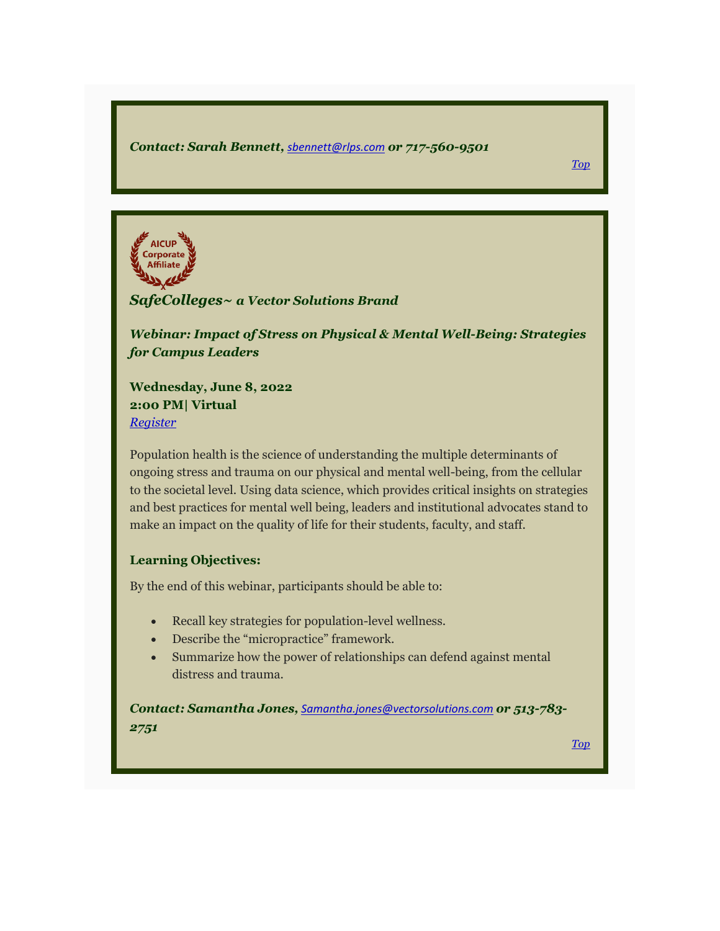#### *Contact: Sarah Bennett, [sbennett@rlps.com](mailto:sbennett@rlps.com) or 717-560-9501*

<span id="page-16-0"></span>**AICUP** Corporate Affiliate

# *SafeColleges~ a Vector Solutions Brand*

*Webinar: Impact of Stress on Physical & Mental Well-Being: Strategies for Campus Leaders*

**Wednesday, June 8, 2022 2:00 PM| Virtual** *[Register](https://aicup.us2.list-manage.com/track/click?u=50862e6f402743ccc70a4f1d7&id=03ddcc70d6&e=1fd9971349)*

Population health is the science of understanding the multiple determinants of ongoing stress and trauma on our physical and mental well-being, from the cellular to the societal level. Using data science, which provides critical insights on strategies and best practices for mental well being, leaders and institutional advocates stand to make an impact on the quality of life for their students, faculty, and staff.

# **Learning Objectives:**

By the end of this webinar, participants should be able to:

- Recall key strategies for population-level wellness.
- Describe the "micropractice" framework.
- Summarize how the power of relationships can defend against mental distress and trauma.

*Contact: Samantha Jones, [Samantha.jones@vectorsolutions.com](mailto:Samantha.jones@vectorsolutions.com) or 513-783- 2751*

*[Top](#page-0-0)*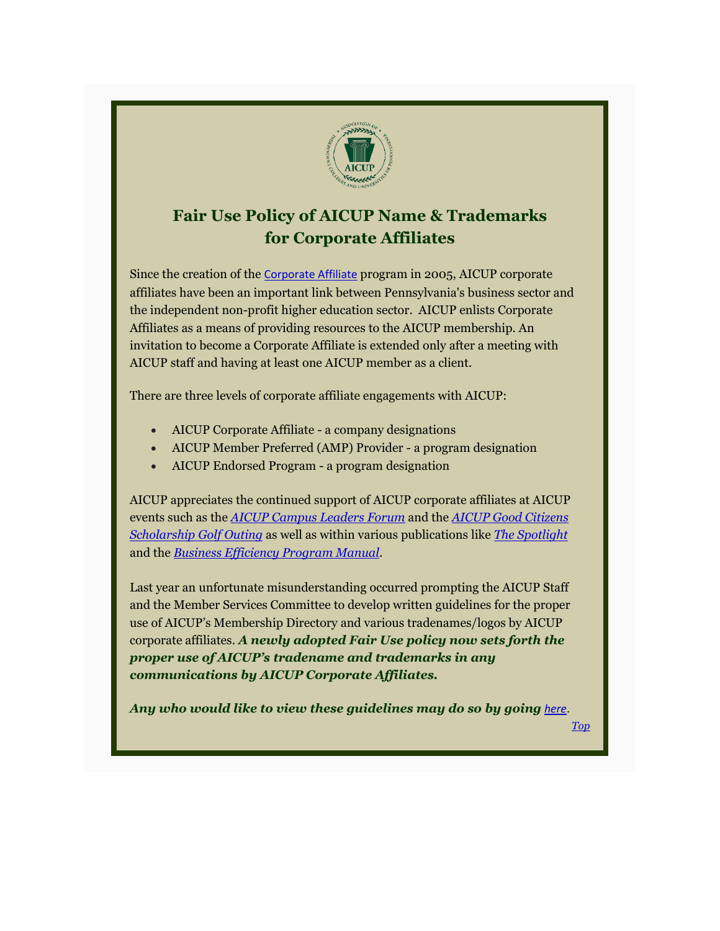<span id="page-17-0"></span>

# **Fair Use Policy of AICUP Name & Trademarks for Corporate Affiliates**

Since the creation of the [Corporate Affiliate](https://aicup.us2.list-manage.com/track/click?u=50862e6f402743ccc70a4f1d7&id=f2a7401a5a&e=1fd9971349) program in 2005, AICUP corporate affiliates have been an important link between Pennsylvania's business sector and the independent non-profit higher education sector. AICUP enlists Corporate Affiliates as a means of providing resources to the AICUP membership. An invitation to become a Corporate Affiliate is extended only after a meeting with AICUP staff and having at least one AICUP member as a client.

There are three levels of corporate affiliate engagements with AICUP:

- AICUP Corporate Affiliate a company designations
- AICUP Member Preferred (AMP) Provider a program designation
- AICUP Endorsed Program a program designation

AICUP appreciates the continued support of AICUP corporate affiliates at AICUP events such as the *[AICUP Campus Leaders Forum](https://aicup.us2.list-manage.com/track/click?u=50862e6f402743ccc70a4f1d7&id=ad9f421c02&e=1fd9971349)* and the *[AICUP Good Citizens](https://aicup.us2.list-manage.com/track/click?u=50862e6f402743ccc70a4f1d7&id=f042b15cd6&e=1fd9971349)  [Scholarship Golf Outing](https://aicup.us2.list-manage.com/track/click?u=50862e6f402743ccc70a4f1d7&id=f042b15cd6&e=1fd9971349)* as well as within various publications like *[The Spotlight](https://aicup.us2.list-manage.com/track/click?u=50862e6f402743ccc70a4f1d7&id=a776af4a52&e=1fd9971349)* and the *[Business Efficiency Program Manual](https://aicup.us2.list-manage.com/track/click?u=50862e6f402743ccc70a4f1d7&id=b994a2a3e5&e=1fd9971349)*.

Last year an unfortunate misunderstanding occurred prompting the AICUP Staff and the Member Services Committee to develop written guidelines for the proper use of AICUP's Membership Directory and various tradenames/logos by AICUP corporate affiliates. *A newly adopted Fair Use policy now sets forth the proper use of AICUP's tradename and trademarks in any communications by AICUP Corporate Affiliates.*

*Any who would like to view these guidelines may do so by going [here](https://aicup.us2.list-manage.com/track/click?u=50862e6f402743ccc70a4f1d7&id=98820ab887&e=1fd9971349).*